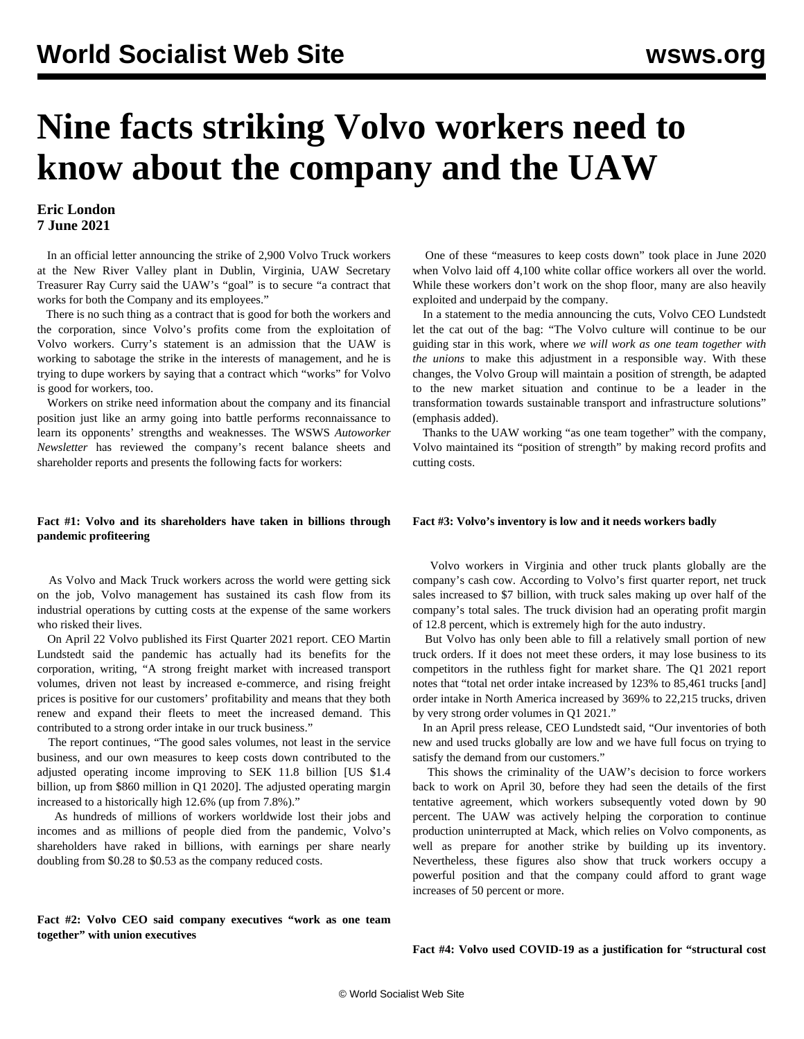# **Nine facts striking Volvo workers need to know about the company and the UAW**

# **Eric London 7 June 2021**

 In an official letter announcing the strike of 2,900 Volvo Truck workers at the New River Valley plant in Dublin, Virginia, UAW Secretary Treasurer Ray Curry said the UAW's "goal" is to secure "a contract that works for both the Company and its employees."

 There is no such thing as a contract that is good for both the workers and the corporation, since Volvo's profits come from the exploitation of Volvo workers. Curry's statement is an admission that the UAW is working to sabotage the strike in the interests of management, and he is trying to dupe workers by saying that a contract which "works" for Volvo is good for workers, too.

 Workers on strike need information about the company and its financial position just like an army going into battle performs reconnaissance to learn its opponents' strengths and weaknesses. The WSWS *Autoworker Newsletter* has reviewed the company's recent balance sheets and shareholder reports and presents the following facts for workers:

### **Fact #1: Volvo and its shareholders have taken in billions through pandemic profiteering**

 As Volvo and Mack Truck workers across the world were getting sick on the job, Volvo management has sustained its cash flow from its industrial operations by cutting costs at the expense of the same workers who risked their lives.

 On April 22 Volvo published its First Quarter 2021 report. CEO Martin Lundstedt said the pandemic has actually had its benefits for the corporation, writing, "A strong freight market with increased transport volumes, driven not least by increased e-commerce, and rising freight prices is positive for our customers' profitability and means that they both renew and expand their fleets to meet the increased demand. This contributed to a strong order intake in our truck business."

 The report continues, "The good sales volumes, not least in the service business, and our own measures to keep costs down contributed to the adjusted operating income improving to SEK 11.8 billion [US \$1.4 billion, up from \$860 million in Q1 2020]. The adjusted operating margin increased to a historically high 12.6% (up from 7.8%)."

 As hundreds of millions of workers worldwide lost their jobs and incomes and as millions of people died from the pandemic, Volvo's shareholders have raked in billions, with earnings per share nearly doubling from \$0.28 to \$0.53 as the company reduced costs.

**Fact #2: Volvo CEO said company executives "work as one team together" with union executives**

 One of these "measures to keep costs down" took place in June 2020 when Volvo laid off 4,100 white collar office workers all over the world. While these workers don't work on the shop floor, many are also heavily exploited and underpaid by the company.

 In a statement to the media announcing the cuts, Volvo CEO Lundstedt let the cat out of the bag: "The Volvo culture will continue to be our guiding star in this work, where *we will work as one team together with the unions* to make this adjustment in a responsible way. With these changes, the Volvo Group will maintain a position of strength, be adapted to the new market situation and continue to be a leader in the transformation towards sustainable transport and infrastructure solutions" (emphasis added).

 Thanks to the UAW working "as one team together" with the company, Volvo maintained its "position of strength" by making record profits and cutting costs.

# **Fact #3: Volvo's inventory is low and it needs workers badly**

 Volvo workers in Virginia and other truck plants globally are the company's cash cow. According to Volvo's first quarter report, net truck sales increased to \$7 billion, with truck sales making up over half of the company's total sales. The truck division had an operating profit margin of 12.8 percent, which is extremely high for the auto industry.

 But Volvo has only been able to fill a relatively small portion of new truck orders. If it does not meet these orders, it may lose business to its competitors in the ruthless fight for market share. The Q1 2021 report notes that "total net order intake increased by 123% to 85,461 trucks [and] order intake in North America increased by 369% to 22,215 trucks, driven by very strong order volumes in Q1 2021."

 In an April press release, CEO Lundstedt said, "Our inventories of both new and used trucks globally are low and we have full focus on trying to satisfy the demand from our customers."

 This shows the criminality of the UAW's decision to force workers back to work on April 30, before they had seen the details of the first tentative agreement, which workers subsequently voted down by 90 percent. The UAW was actively helping the corporation to continue production uninterrupted at Mack, which relies on Volvo components, as well as prepare for another strike by building up its inventory. Nevertheless, these figures also show that truck workers occupy a powerful position and that the company could afford to grant wage increases of 50 percent or more.

# **Fact #4: Volvo used COVID-19 as a justification for "structural cost**